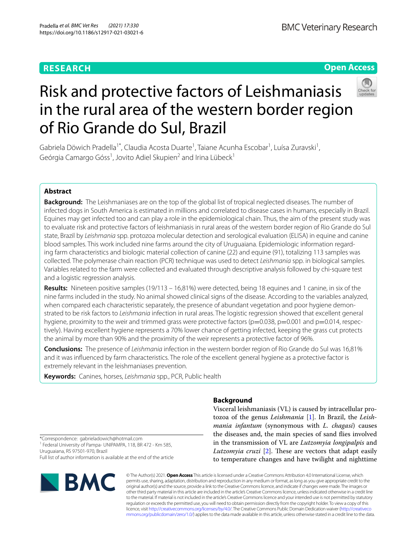# **RESEARCH**

# **Open Access**



# Risk and protective factors of Leishmaniasis in the rural area of the western border region of Rio Grande do Sul, Brazil

Gabriela Döwich Pradella<sup>1\*</sup>, Claudia Acosta Duarte<sup>1</sup>, Taiane Acunha Escobar<sup>1</sup>, Luísa Zuravski<sup>1</sup>, Geórgia Camargo Góss<sup>1</sup>, Jovito Adiel Skupien<sup>2</sup> and Irina Lübeck<sup>1</sup>

# **Abstract**

**Background:** The Leishmaniases are on the top of the global list of tropical neglected diseases. The number of infected dogs in South America is estimated in millions and correlated to disease cases in humans, especially in Brazil. Equines may get infected too and can play a role in the epidemiological chain. Thus, the aim of the present study was to evaluate risk and protective factors of leishmaniasis in rural areas of the western border region of Rio Grande do Sul state, Brazil by *Leishmania* spp. protozoa molecular detection and serological evaluation (ELISA) in equine and canine blood samples. This work included nine farms around the city of Uruguaiana. Epidemiologic information regarding farm characteristics and biologic material collection of canine (22) and equine (91), totalizing 113 samples was collected. The polymerase chain reaction (PCR) technique was used to detect *Leishmania* spp. in biological samples. Variables related to the farm were collected and evaluated through descriptive analysis followed by chi-square test and a logistic regression analysis.

**Results:** Nineteen positive samples (19/113 – 16,81%) were detected, being 18 equines and 1 canine, in six of the nine farms included in the study. No animal showed clinical signs of the disease. According to the variables analyzed, when compared each characteristic separately, the presence of abundant vegetation and poor hygiene demonstrated to be risk factors to *Leishmania* infection in rural areas. The logistic regression showed that excellent general hygiene, proximity to the weir and trimmed grass were protective factors ( $p=0.038$ ,  $p=0.001$  and  $p=0.014$ , respectively). Having excellent hygiene represents a 70% lower chance of getting infected, keeping the grass cut protects the animal by more than 90% and the proximity of the weir represents a protective factor of 96%.

**Conclusions:** The presence of *Leishmania* infection in the western border region of Rio Grande do Sul was 16,81% and it was infuenced by farm characteristics. The role of the excellent general hygiene as a protective factor is extremely relevant in the leishmaniases prevention.

**Keywords:** Canines, horses, *Leishmania* spp., PCR, Public health

# **Background**

Visceral leishmaniasis (VL) is caused by intracellular protozoa of the genus *Leishmania* [\[1](#page-6-0)]. In Brazil, the *Leishmania infantum* (synonymous with *L. chagasi*) causes the diseases and, the main species of sand fies involved in the transmission of VL are *Lutzomyia longipalpis* and *Lutzomyia cruzi* [\[2](#page-6-1)]. These are vectors that adapt easily to temperature changes and have twilight and nighttime

\*Correspondence: gabrieladowich@hotmail.com <sup>1</sup> Federal University of Pampa- UNIPAMPA, 118, BR 472 - Km 585, Uruguaiana, RS 97501-970, Brazil Full list of author information is available at the end of the article



© The Author(s) 2021. **Open Access** This article is licensed under a Creative Commons Attribution 4.0 International License, which permits use, sharing, adaptation, distribution and reproduction in any medium or format, as long as you give appropriate credit to the original author(s) and the source, provide a link to the Creative Commons licence, and indicate if changes were made. The images or other third party material in this article are included in the article's Creative Commons licence, unless indicated otherwise in a credit line to the material. If material is not included in the article's Creative Commons licence and your intended use is not permitted by statutory regulation or exceeds the permitted use, you will need to obtain permission directly from the copyright holder. To view a copy of this licence, visit [http://creativecommons.org/licenses/by/4.0/.](http://creativecommons.org/licenses/by/4.0/) The Creative Commons Public Domain Dedication waiver ([http://creativeco](http://creativecommons.org/publicdomain/zero/1.0/) [mmons.org/publicdomain/zero/1.0/](http://creativecommons.org/publicdomain/zero/1.0/)) applies to the data made available in this article, unless otherwise stated in a credit line to the data.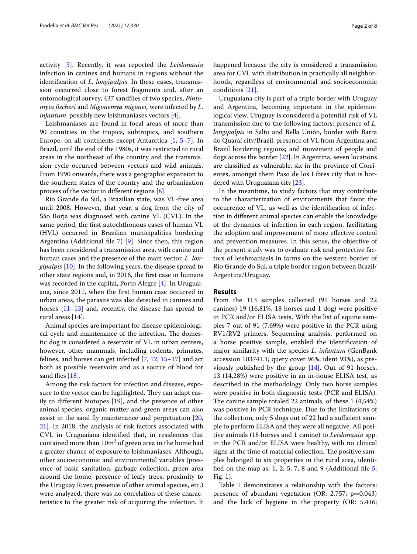activity [[3\]](#page-6-2). Recently, it was reported the *Leishmania* infection in canines and humans in regions without the identifcation of *L. longipalpis*. In these cases, transmission occurred close to forest fragments and, after an entomological survey, 437 sandfies of two species, *Pintomyia fscheri* and *Migonemya migonei,* were infected by *L. infantum*, possibly new leishmaniases vectors [[4](#page-6-3)].

Leishmaniases are found in focal areas of more than 90 countries in the tropics, subtropics, and southern Europe, on all continents except Antarctica [\[1](#page-6-0), [5–](#page-6-4)[7\]](#page-6-5). In Brazil, until the end of the 1980s, it was restricted to rural areas in the northeast of the country and the transmission cycle occurred between vectors and wild animals. From 1990 onwards, there was a geographic expansion to the southern states of the country and the urbanization process of the vector in diferent regions [[8](#page-6-6)].

Rio Grande do Sul, a Brazilian state, was VL-free area until 2008. However, that year, a dog from the city of São Borja was diagnosed with canine VL (CVL). In the same period, the frst autochthonous cases of human VL (HVL) occurred in Brazilian municipalities bordering Argentina (Additional fle [7](#page-6-7)) [\[9](#page-6-8)]. Since then, this region has been considered a transmission area, with canine and human cases and the presence of the main vector, *L. longipalpis* [\[10](#page-6-9)]. In the following years, the disease spread to other state regions and, in 2016, the frst case in humans was recorded in the capital, Porto Alegre [\[4](#page-6-3)]. In Uruguaiana, since 2011, when the frst human case occurred in urban areas, the parasite was also detected in canines and horses [\[11](#page-7-0)[–13\]](#page-7-1) and, recently, the disease has spread to rural areas [[14](#page-7-2)].

Animal species are important for disease epidemiological cycle and maintenance of the infection. The domestic dog is considered a reservoir of VL in urban centers, however, other mammals, including rodents, primates, felines, and horses can get infected [\[7](#page-6-5), [12,](#page-7-3) [15](#page-7-4)[–17\]](#page-7-5) and act both as possible reservoirs and as a source of blood for sand flies [[18\]](#page-7-6).

Among the risk factors for infection and disease, exposure to the vector can be highlighted. They can adapt easily to diferent biotopes [\[19](#page-7-7)], and the presence of other animal species, organic matter and green areas can also assist in the sand fy maintenance and perpetuation [\[20](#page-7-8), [21\]](#page-7-9). In 2018, the analysis of risk factors associated with CVL in Uruguaiana identifed that, in residences that contained more than  $10\mathrm{m}^2$  of green area in the home had a greater chance of exposure to leishmaniases. Although, other socioeconomic and environmental variables (presence of basic sanitation, garbage collection, green area around the home, presence of leafy trees, proximity to the Uruguay River, presence of other animal species, etc.) were analyzed, there was no correlation of these characteristics to the greater risk of acquiring the infection. It

happened because the city is considered a transmission area for CVL with distribution in practically all neighborhoods, regardless of environmental and socioeconomic conditions [\[21](#page-7-9)].

Uruguaiana city is part of a triple border with Uruguay and Argentina, becoming important in the epidemiological view. Uruguay is considered a potential risk of VL transmission due to the following factors: presence of *L. longipalpis* in Salto and Bella Unión, border with Barra do Quaraí city/Brazil; presence of VL from Argentina and Brazil bordering regions; and movement of people and dogs across the border [\[22\]](#page-7-10). In Argentina, seven locations are classifed as vulnerable, six in the province of Corrientes, amongst them Paso de los Libres city that is bordered with Uruguaiana city [\[23](#page-7-11)].

In the meantime, to study factors that may contribute to the characterization of environments that favor the occurrence of VL, as well as the identifcation of infection in diferent animal species can enable the knowledge of the dynamics of infection in each region, facilitating the adoption and improvement of more efective control and prevention measures. In this sense, the objective of the present study was to evaluate risk and protective factors of leishmaniasis in farms on the western border of Rio Grande do Sul, a triple border region between Brazil/ Argentina/Uruguay.

## **Results**

From the 113 samples collected (91 horses and 22 canines) 19 (16,81%, 18 horses and 1 dog) were positive in PCR and/or ELISA tests. With the list of equine samples 7 out of 91 (7.69%) were positive in the PCR using RV1/RV2 primers. Sequencing analysis, performed on a horse positive sample, enabled the identifcation of major similarity with the species *L. infantum* (GenBank accession 103741.1; query cover 96%; ident 93%), as previously published by the group [[14\]](#page-7-2). Out of 91 horses, 13 (14,28%) were positive in an in-house ELISA test, as described in the methodology. Only two horse samples were positive in both diagnostic tests (PCR and ELISA). The canine sample totaled 22 animals, of these  $1$  (4,54%) was positive in PCR technique. Due to the limitations of the collection, only 5 dogs out of 22 had a sufficient sample to perform ELISA and they were all negative. All positive animals (18 horses and 1 canine) to *Leishmania* spp. in the PCR and/or ELISA were healthy, with no clinical signs at the time of material collection. The positive samples belonged to six properties in the rural area, identi-fied on the map as: 1, 2, [5](#page-6-10), 7, 8 and 9 (Additional file  $\overline{5}$ : Fig. 1).

Table [1](#page-2-0) demonstrates a relationship with the factors: presence of abundant vegetation (OR: 2.757;  $p=0.043$ ) and the lack of hygiene in the property (OR: 5.416;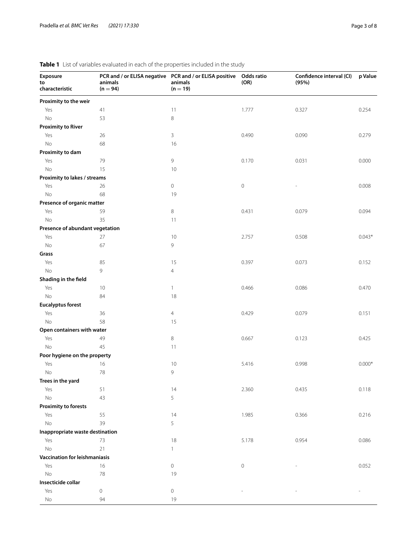| Proximity to the weir<br>Yes<br>41<br>11<br>1.777<br>0.327<br>0.254<br>No<br>53<br>8<br><b>Proximity to River</b><br>Yes<br>3<br>0.490<br>0.090<br>0.279<br>26<br>No<br>68<br>16<br>Proximity to dam<br>9<br>Yes<br>79<br>0.170<br>0.031<br>0.000<br><b>No</b><br>15<br>10<br>Proximity to lakes / streams<br>0<br>0.008<br>Yes<br>26<br>0<br>No<br>68<br>19<br>Presence of organic matter<br>Yes<br>59<br>8<br>0.431<br>0.079<br>0.094<br>No<br>35<br>11<br>Presence of abundant vegetation<br>$0.043*$<br>Yes<br>27<br>10<br>2.757<br>0.508<br>9<br>No<br>67<br>Grass<br>Yes<br>85<br>15<br>0.397<br>0.073<br>0.152<br>No<br>9<br>$\overline{4}$<br>Shading in the field<br>0.466<br>Yes<br>0.086<br>0.470<br>10<br>$\mathbf{1}$<br><b>No</b><br>84<br>18<br><b>Eucalyptus forest</b><br>Yes<br>36<br>$\overline{4}$<br>0.429<br>0.079<br>0.151<br><b>No</b><br>58<br>15<br>Open containers with water<br>Yes<br>49<br>8<br>0.667<br>0.123<br>0.425<br><b>No</b><br>45<br>11<br>Poor hygiene on the property<br>$0.000*$<br>Yes<br>16<br>10<br>5.416<br>0.998<br>9<br>No<br>78<br>Trees in the yard<br>51<br>14<br>2.360<br>0.435<br>0.118<br>Yes<br>No<br>5<br>43<br><b>Proximity to forests</b><br>Yes<br>14<br>0.216<br>55<br>1.985<br>0.366<br>$\rm No$<br>5<br>39<br>Inappropriate waste destination<br>Yes<br>73<br>18<br>5.178<br>0.954<br>0.086<br><b>No</b><br>21<br>$\mathbf{1}$<br>Vaccination for leishmaniasis<br>$\mathbf 0$<br>Yes<br>16<br>0<br>0.052<br><b>No</b><br>78<br>19<br>Insecticide collar<br>Yes<br>$\mathbf 0$<br>0<br>No<br>19<br>94 | Exposure<br>to<br>characteristic | PCR and / or ELISA negative  PCR and / or ELISA positive<br>animals<br>$(n = 94)$ | animals<br>$(n = 19)$ | Odds ratio<br>(OR) | Confidence interval (CI)<br>(95%) | p Value |
|---------------------------------------------------------------------------------------------------------------------------------------------------------------------------------------------------------------------------------------------------------------------------------------------------------------------------------------------------------------------------------------------------------------------------------------------------------------------------------------------------------------------------------------------------------------------------------------------------------------------------------------------------------------------------------------------------------------------------------------------------------------------------------------------------------------------------------------------------------------------------------------------------------------------------------------------------------------------------------------------------------------------------------------------------------------------------------------------------------------------------------------------------------------------------------------------------------------------------------------------------------------------------------------------------------------------------------------------------------------------------------------------------------------------------------------------------------------------------------------------------------------------------------------------------------------------|----------------------------------|-----------------------------------------------------------------------------------|-----------------------|--------------------|-----------------------------------|---------|
|                                                                                                                                                                                                                                                                                                                                                                                                                                                                                                                                                                                                                                                                                                                                                                                                                                                                                                                                                                                                                                                                                                                                                                                                                                                                                                                                                                                                                                                                                                                                                                     |                                  |                                                                                   |                       |                    |                                   |         |
|                                                                                                                                                                                                                                                                                                                                                                                                                                                                                                                                                                                                                                                                                                                                                                                                                                                                                                                                                                                                                                                                                                                                                                                                                                                                                                                                                                                                                                                                                                                                                                     |                                  |                                                                                   |                       |                    |                                   |         |
|                                                                                                                                                                                                                                                                                                                                                                                                                                                                                                                                                                                                                                                                                                                                                                                                                                                                                                                                                                                                                                                                                                                                                                                                                                                                                                                                                                                                                                                                                                                                                                     |                                  |                                                                                   |                       |                    |                                   |         |
|                                                                                                                                                                                                                                                                                                                                                                                                                                                                                                                                                                                                                                                                                                                                                                                                                                                                                                                                                                                                                                                                                                                                                                                                                                                                                                                                                                                                                                                                                                                                                                     |                                  |                                                                                   |                       |                    |                                   |         |
|                                                                                                                                                                                                                                                                                                                                                                                                                                                                                                                                                                                                                                                                                                                                                                                                                                                                                                                                                                                                                                                                                                                                                                                                                                                                                                                                                                                                                                                                                                                                                                     |                                  |                                                                                   |                       |                    |                                   |         |
|                                                                                                                                                                                                                                                                                                                                                                                                                                                                                                                                                                                                                                                                                                                                                                                                                                                                                                                                                                                                                                                                                                                                                                                                                                                                                                                                                                                                                                                                                                                                                                     |                                  |                                                                                   |                       |                    |                                   |         |
|                                                                                                                                                                                                                                                                                                                                                                                                                                                                                                                                                                                                                                                                                                                                                                                                                                                                                                                                                                                                                                                                                                                                                                                                                                                                                                                                                                                                                                                                                                                                                                     |                                  |                                                                                   |                       |                    |                                   |         |
|                                                                                                                                                                                                                                                                                                                                                                                                                                                                                                                                                                                                                                                                                                                                                                                                                                                                                                                                                                                                                                                                                                                                                                                                                                                                                                                                                                                                                                                                                                                                                                     |                                  |                                                                                   |                       |                    |                                   |         |
|                                                                                                                                                                                                                                                                                                                                                                                                                                                                                                                                                                                                                                                                                                                                                                                                                                                                                                                                                                                                                                                                                                                                                                                                                                                                                                                                                                                                                                                                                                                                                                     |                                  |                                                                                   |                       |                    |                                   |         |
|                                                                                                                                                                                                                                                                                                                                                                                                                                                                                                                                                                                                                                                                                                                                                                                                                                                                                                                                                                                                                                                                                                                                                                                                                                                                                                                                                                                                                                                                                                                                                                     |                                  |                                                                                   |                       |                    |                                   |         |
|                                                                                                                                                                                                                                                                                                                                                                                                                                                                                                                                                                                                                                                                                                                                                                                                                                                                                                                                                                                                                                                                                                                                                                                                                                                                                                                                                                                                                                                                                                                                                                     |                                  |                                                                                   |                       |                    |                                   |         |
|                                                                                                                                                                                                                                                                                                                                                                                                                                                                                                                                                                                                                                                                                                                                                                                                                                                                                                                                                                                                                                                                                                                                                                                                                                                                                                                                                                                                                                                                                                                                                                     |                                  |                                                                                   |                       |                    |                                   |         |
|                                                                                                                                                                                                                                                                                                                                                                                                                                                                                                                                                                                                                                                                                                                                                                                                                                                                                                                                                                                                                                                                                                                                                                                                                                                                                                                                                                                                                                                                                                                                                                     |                                  |                                                                                   |                       |                    |                                   |         |
|                                                                                                                                                                                                                                                                                                                                                                                                                                                                                                                                                                                                                                                                                                                                                                                                                                                                                                                                                                                                                                                                                                                                                                                                                                                                                                                                                                                                                                                                                                                                                                     |                                  |                                                                                   |                       |                    |                                   |         |
|                                                                                                                                                                                                                                                                                                                                                                                                                                                                                                                                                                                                                                                                                                                                                                                                                                                                                                                                                                                                                                                                                                                                                                                                                                                                                                                                                                                                                                                                                                                                                                     |                                  |                                                                                   |                       |                    |                                   |         |
|                                                                                                                                                                                                                                                                                                                                                                                                                                                                                                                                                                                                                                                                                                                                                                                                                                                                                                                                                                                                                                                                                                                                                                                                                                                                                                                                                                                                                                                                                                                                                                     |                                  |                                                                                   |                       |                    |                                   |         |
|                                                                                                                                                                                                                                                                                                                                                                                                                                                                                                                                                                                                                                                                                                                                                                                                                                                                                                                                                                                                                                                                                                                                                                                                                                                                                                                                                                                                                                                                                                                                                                     |                                  |                                                                                   |                       |                    |                                   |         |
|                                                                                                                                                                                                                                                                                                                                                                                                                                                                                                                                                                                                                                                                                                                                                                                                                                                                                                                                                                                                                                                                                                                                                                                                                                                                                                                                                                                                                                                                                                                                                                     |                                  |                                                                                   |                       |                    |                                   |         |
|                                                                                                                                                                                                                                                                                                                                                                                                                                                                                                                                                                                                                                                                                                                                                                                                                                                                                                                                                                                                                                                                                                                                                                                                                                                                                                                                                                                                                                                                                                                                                                     |                                  |                                                                                   |                       |                    |                                   |         |
|                                                                                                                                                                                                                                                                                                                                                                                                                                                                                                                                                                                                                                                                                                                                                                                                                                                                                                                                                                                                                                                                                                                                                                                                                                                                                                                                                                                                                                                                                                                                                                     |                                  |                                                                                   |                       |                    |                                   |         |
|                                                                                                                                                                                                                                                                                                                                                                                                                                                                                                                                                                                                                                                                                                                                                                                                                                                                                                                                                                                                                                                                                                                                                                                                                                                                                                                                                                                                                                                                                                                                                                     |                                  |                                                                                   |                       |                    |                                   |         |
|                                                                                                                                                                                                                                                                                                                                                                                                                                                                                                                                                                                                                                                                                                                                                                                                                                                                                                                                                                                                                                                                                                                                                                                                                                                                                                                                                                                                                                                                                                                                                                     |                                  |                                                                                   |                       |                    |                                   |         |
|                                                                                                                                                                                                                                                                                                                                                                                                                                                                                                                                                                                                                                                                                                                                                                                                                                                                                                                                                                                                                                                                                                                                                                                                                                                                                                                                                                                                                                                                                                                                                                     |                                  |                                                                                   |                       |                    |                                   |         |
|                                                                                                                                                                                                                                                                                                                                                                                                                                                                                                                                                                                                                                                                                                                                                                                                                                                                                                                                                                                                                                                                                                                                                                                                                                                                                                                                                                                                                                                                                                                                                                     |                                  |                                                                                   |                       |                    |                                   |         |
|                                                                                                                                                                                                                                                                                                                                                                                                                                                                                                                                                                                                                                                                                                                                                                                                                                                                                                                                                                                                                                                                                                                                                                                                                                                                                                                                                                                                                                                                                                                                                                     |                                  |                                                                                   |                       |                    |                                   |         |
|                                                                                                                                                                                                                                                                                                                                                                                                                                                                                                                                                                                                                                                                                                                                                                                                                                                                                                                                                                                                                                                                                                                                                                                                                                                                                                                                                                                                                                                                                                                                                                     |                                  |                                                                                   |                       |                    |                                   |         |
|                                                                                                                                                                                                                                                                                                                                                                                                                                                                                                                                                                                                                                                                                                                                                                                                                                                                                                                                                                                                                                                                                                                                                                                                                                                                                                                                                                                                                                                                                                                                                                     |                                  |                                                                                   |                       |                    |                                   |         |
|                                                                                                                                                                                                                                                                                                                                                                                                                                                                                                                                                                                                                                                                                                                                                                                                                                                                                                                                                                                                                                                                                                                                                                                                                                                                                                                                                                                                                                                                                                                                                                     |                                  |                                                                                   |                       |                    |                                   |         |
|                                                                                                                                                                                                                                                                                                                                                                                                                                                                                                                                                                                                                                                                                                                                                                                                                                                                                                                                                                                                                                                                                                                                                                                                                                                                                                                                                                                                                                                                                                                                                                     |                                  |                                                                                   |                       |                    |                                   |         |
|                                                                                                                                                                                                                                                                                                                                                                                                                                                                                                                                                                                                                                                                                                                                                                                                                                                                                                                                                                                                                                                                                                                                                                                                                                                                                                                                                                                                                                                                                                                                                                     |                                  |                                                                                   |                       |                    |                                   |         |
|                                                                                                                                                                                                                                                                                                                                                                                                                                                                                                                                                                                                                                                                                                                                                                                                                                                                                                                                                                                                                                                                                                                                                                                                                                                                                                                                                                                                                                                                                                                                                                     |                                  |                                                                                   |                       |                    |                                   |         |
|                                                                                                                                                                                                                                                                                                                                                                                                                                                                                                                                                                                                                                                                                                                                                                                                                                                                                                                                                                                                                                                                                                                                                                                                                                                                                                                                                                                                                                                                                                                                                                     |                                  |                                                                                   |                       |                    |                                   |         |
|                                                                                                                                                                                                                                                                                                                                                                                                                                                                                                                                                                                                                                                                                                                                                                                                                                                                                                                                                                                                                                                                                                                                                                                                                                                                                                                                                                                                                                                                                                                                                                     |                                  |                                                                                   |                       |                    |                                   |         |
|                                                                                                                                                                                                                                                                                                                                                                                                                                                                                                                                                                                                                                                                                                                                                                                                                                                                                                                                                                                                                                                                                                                                                                                                                                                                                                                                                                                                                                                                                                                                                                     |                                  |                                                                                   |                       |                    |                                   |         |
|                                                                                                                                                                                                                                                                                                                                                                                                                                                                                                                                                                                                                                                                                                                                                                                                                                                                                                                                                                                                                                                                                                                                                                                                                                                                                                                                                                                                                                                                                                                                                                     |                                  |                                                                                   |                       |                    |                                   |         |
|                                                                                                                                                                                                                                                                                                                                                                                                                                                                                                                                                                                                                                                                                                                                                                                                                                                                                                                                                                                                                                                                                                                                                                                                                                                                                                                                                                                                                                                                                                                                                                     |                                  |                                                                                   |                       |                    |                                   |         |
|                                                                                                                                                                                                                                                                                                                                                                                                                                                                                                                                                                                                                                                                                                                                                                                                                                                                                                                                                                                                                                                                                                                                                                                                                                                                                                                                                                                                                                                                                                                                                                     |                                  |                                                                                   |                       |                    |                                   |         |
|                                                                                                                                                                                                                                                                                                                                                                                                                                                                                                                                                                                                                                                                                                                                                                                                                                                                                                                                                                                                                                                                                                                                                                                                                                                                                                                                                                                                                                                                                                                                                                     |                                  |                                                                                   |                       |                    |                                   |         |
|                                                                                                                                                                                                                                                                                                                                                                                                                                                                                                                                                                                                                                                                                                                                                                                                                                                                                                                                                                                                                                                                                                                                                                                                                                                                                                                                                                                                                                                                                                                                                                     |                                  |                                                                                   |                       |                    |                                   |         |
|                                                                                                                                                                                                                                                                                                                                                                                                                                                                                                                                                                                                                                                                                                                                                                                                                                                                                                                                                                                                                                                                                                                                                                                                                                                                                                                                                                                                                                                                                                                                                                     |                                  |                                                                                   |                       |                    |                                   |         |
|                                                                                                                                                                                                                                                                                                                                                                                                                                                                                                                                                                                                                                                                                                                                                                                                                                                                                                                                                                                                                                                                                                                                                                                                                                                                                                                                                                                                                                                                                                                                                                     |                                  |                                                                                   |                       |                    |                                   |         |
|                                                                                                                                                                                                                                                                                                                                                                                                                                                                                                                                                                                                                                                                                                                                                                                                                                                                                                                                                                                                                                                                                                                                                                                                                                                                                                                                                                                                                                                                                                                                                                     |                                  |                                                                                   |                       |                    |                                   |         |
|                                                                                                                                                                                                                                                                                                                                                                                                                                                                                                                                                                                                                                                                                                                                                                                                                                                                                                                                                                                                                                                                                                                                                                                                                                                                                                                                                                                                                                                                                                                                                                     |                                  |                                                                                   |                       |                    |                                   |         |
|                                                                                                                                                                                                                                                                                                                                                                                                                                                                                                                                                                                                                                                                                                                                                                                                                                                                                                                                                                                                                                                                                                                                                                                                                                                                                                                                                                                                                                                                                                                                                                     |                                  |                                                                                   |                       |                    |                                   |         |
|                                                                                                                                                                                                                                                                                                                                                                                                                                                                                                                                                                                                                                                                                                                                                                                                                                                                                                                                                                                                                                                                                                                                                                                                                                                                                                                                                                                                                                                                                                                                                                     |                                  |                                                                                   |                       |                    |                                   |         |
|                                                                                                                                                                                                                                                                                                                                                                                                                                                                                                                                                                                                                                                                                                                                                                                                                                                                                                                                                                                                                                                                                                                                                                                                                                                                                                                                                                                                                                                                                                                                                                     |                                  |                                                                                   |                       |                    |                                   |         |
|                                                                                                                                                                                                                                                                                                                                                                                                                                                                                                                                                                                                                                                                                                                                                                                                                                                                                                                                                                                                                                                                                                                                                                                                                                                                                                                                                                                                                                                                                                                                                                     |                                  |                                                                                   |                       |                    |                                   |         |
|                                                                                                                                                                                                                                                                                                                                                                                                                                                                                                                                                                                                                                                                                                                                                                                                                                                                                                                                                                                                                                                                                                                                                                                                                                                                                                                                                                                                                                                                                                                                                                     |                                  |                                                                                   |                       |                    |                                   |         |
|                                                                                                                                                                                                                                                                                                                                                                                                                                                                                                                                                                                                                                                                                                                                                                                                                                                                                                                                                                                                                                                                                                                                                                                                                                                                                                                                                                                                                                                                                                                                                                     |                                  |                                                                                   |                       |                    |                                   |         |

# <span id="page-2-0"></span>**Table 1** List of variables evaluated in each of the properties included in the study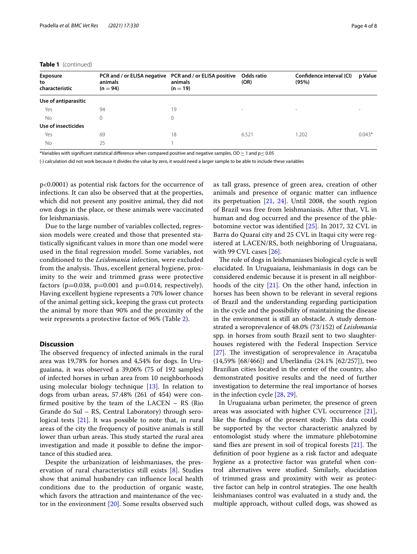#### **Table 1** (continued)

| <b>Exposure</b><br>to | PCR and / or ELISA negative PCR and / or ELISA positive<br>animals | animals    | Odds ratio<br>(OR) | Confidence interval (CI)<br>(95%) | p Value  |
|-----------------------|--------------------------------------------------------------------|------------|--------------------|-----------------------------------|----------|
| characteristic        | $(n = 94)$                                                         | $(n = 19)$ |                    |                                   |          |
| Use of antiparasitic  |                                                                    |            |                    |                                   |          |
| Yes                   | 94                                                                 | 19         | $\sim$             | -                                 |          |
| No                    | $\Omega$                                                           | $\Omega$   |                    |                                   |          |
| Use of insecticides   |                                                                    |            |                    |                                   |          |
| Yes                   | 69                                                                 | 18         | 6.521              | 1.202                             | $0.043*$ |
| No                    | 25                                                                 |            |                    |                                   |          |

\*Variables with significant statistical difference when compared positive and negative samples, OD  $\geq$  1 and p $\leq$  0.05

(-) calculation did not work because it divides the value by zero, it would need a larger sample to be able to include these variables

p<0.0001) as potential risk factors for the occurrence of infections. It can also be observed that at the properties, which did not present any positive animal, they did not own dogs in the place, or these animals were vaccinated for leishmaniasis.

Due to the large number of variables collected, regression models were created and those that presented statistically signifcant values in more than one model were used in the fnal regression model. Some variables, not conditioned to the *Leishmania* infection, were excluded from the analysis. Thus, excellent general hygiene, proximity to the weir and trimmed grass were protective factors ( $p=0.038$ ,  $p=0.001$  and  $p=0.014$ , respectively). Having excellent hygiene represents a 70% lower chance of the animal getting sick, keeping the grass cut protects the animal by more than 90% and the proximity of the weir represents a protective factor of 96% (Table [2](#page-4-0)).

# **Discussion**

The observed frequency of infected animals in the rural area was 19,78% for horses and 4,54% for dogs. In Uruguaiana, it was observed a 39,06% (75 of 192 samples) of infected horses in urban area from 10 neighborhoods using molecular biology technique [[13](#page-7-1)]. In relation to dogs from urban areas, 57.48% (261 of 454) were confrmed positive by the team of the LACEN – RS (Rio Grande do Sul – RS, Central Laboratory) through serological tests [[21\]](#page-7-9). It was possible to note that, in rural areas of the city the frequency of positive animals is still lower than urban areas. This study started the rural area investigation and made it possible to defne the importance of this studied area.

Despite the urbanization of leishmaniases, the preservation of rural characteristics still exists [[8\]](#page-6-6). Studies show that animal husbandry can infuence local health conditions due to the production of organic waste, which favors the attraction and maintenance of the vector in the environment [\[20](#page-7-8)]. Some results observed such as tall grass, presence of green area, creation of other animals and presence of organic matter can infuence its perpetuation [[21,](#page-7-9) [24](#page-7-12)]. Until 2008, the south region of Brazil was free from leishmaniasis. After that, VL in human and dog occurred and the presence of the phlebotomine vector was identifed [\[25](#page-7-13)]. In 2017, 32 CVL in Barra do Quaraí city and 25 CVL in Itaqui city were registered at LACEN/RS, both neighboring of Uruguaiana, with 99 CVL cases [[26\]](#page-7-14).

The role of dogs in leishmaniases biological cycle is well elucidated. In Uruguaiana, leishmaniasis in dogs can be considered endemic because it is present in all neighborhoods of the city [\[21](#page-7-9)]. On the other hand, infection in horses has been shown to be relevant in several regions of Brazil and the understanding regarding participation in the cycle and the possibility of maintaining the disease in the environment is still an obstacle. A study demonstrated a seroprevalence of 48.0% (73/152) of *Leishmania* spp*.* in horses from south Brazil sent to two slaughterhouses registered with the Federal Inspection Service [ $27$ ]. The investigation of seroprevalence in Aracatuba (14,59% [68/466]) and Uberlândia (24.1% [62/257]), two Brazilian cities located in the center of the country, also demonstrated positive results and the need of further investigation to determine the real importance of horses in the infection cycle [\[28](#page-7-16), [29\]](#page-7-17).

In Uruguaiana urban perimeter, the presence of green areas was associated with higher CVL occurrence [\[21](#page-7-9)], like the findings of the present study. This data could be supported by the vector characteristic analyzed by entomologist study where the immature phlebotomine sand flies are present in soil of tropical forests  $[21]$  $[21]$ . The defnition of poor hygiene as a risk factor and adequate hygiene as a protective factor was grateful when control alternatives were studied. Similarly, elucidation of trimmed grass and proximity with weir as protective factor can help in control strategies. The one health leishmaniases control was evaluated in a study and, the multiple approach, without culled dogs, was showed as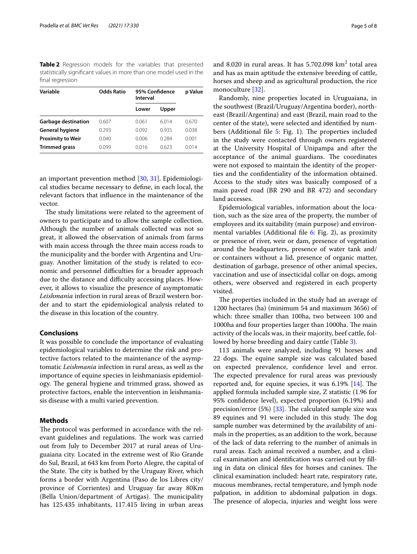<span id="page-4-0"></span>**Table 2** Regression models for the variables that presented statistically signifcant values in more than one model used in the fnal regression

| Variable                   | <b>Odds Ratio</b> | Interval | 95% Confidence |       |
|----------------------------|-------------------|----------|----------------|-------|
|                            |                   | Lower    | Upper          |       |
| <b>Garbage destination</b> | 0.607             | 0.061    | 6014           | 0.670 |
| <b>General hygiene</b>     | 0.293             | 0.092    | 0935           | 0.038 |
| <b>Proximity to Weir</b>   | 0.040             | 0.006    | 0.284          | 0.001 |
| <b>Trimmed grass</b>       | 0.099             | 0.016    | 0.623          | 0.014 |

an important prevention method [[30](#page-7-18), [31](#page-7-19)]. Epidemiological studies became necessary to defne, in each local, the relevant factors that infuence in the maintenance of the vector.

The study limitations were related to the agreement of owners to participate and to allow the sample collection. Although the number of animals collected was not so great, it allowed the observation of animals from farms with main access through the three main access roads to the municipality and the border with Argentina and Uruguay. Another limitation of the study is related to economic and personnel difficulties for a broader approach due to the distance and difficulty accessing places. However, it allows to visualize the presence of asymptomatic *Leishmania* infection in rural areas of Brazil western border and to start the epidemiological analysis related to the disease in this location of the country.

## **Conclusions**

It was possible to conclude the importance of evaluating epidemiological variables to determine the risk and protective factors related to the maintenance of the asymptomatic *Leishmania* infection in rural areas, as well as the importance of equine species in leishmaniasis epidemiology. The general hygiene and trimmed grass, showed as protective factors, enable the intervention in leishmaniasis disease with a multi varied prevention.

## **Methods**

The protocol was performed in accordance with the relevant guidelines and regulations. The work was carried out from July to December 2017 at rural areas of Uruguaiana city. Located in the extreme west of Rio Grande do Sul, Brazil, at 643 km from Porto Alegre, the capital of the State. The city is bathed by the Uruguay River, which forms a border with Argentina (Paso de los Libres city/ province of Corrientes) and Uruguay far away 80Km (Bella Union/department of Artigas). The municipality has 125.435 inhabitants, 117.415 living in urban areas

and 8.020 in rural areas. It has  $5.702.098 \text{ km}^2$  total area and has as main aptitude the extensive breeding of cattle, horses and sheep and as agricultural production, the rice monoculture [\[32](#page-7-20)].

Randomly, nine properties located in Uruguaiana, in the southwest (Brazil/Uruguay/Argentina border), northeast (Brazil/Argentina) and east (Brazil, main road to the center of the state), were selected and identifed by num-bers (Additional file [5](#page-6-10): Fig. 1). The properties included in the study were contacted through owners registered at the University Hospital of Unipampa and after the acceptance of the animal guardians. The coordinates were not exposed to maintain the identity of the properties and the confdentiality of the information obtained. Access to the study sites was basically composed of a main paved road (BR 290 and BR 472) and secondary land accesses.

Epidemiological variables, information about the location, such as the size area of the property, the number of employees and its suitability (main purpose) and environ-mental variables (Additional file [6](#page-6-11): Fig. 2), as proximity or presence of river, weir or dam, presence of vegetation around the headquarters, presence of water tank and/ or containers without a lid, presence of organic matter, destination of garbage, presence of other animal species, vaccination and use of insecticidal collar on dogs, among others, were observed and registered in each property visited.

The properties included in the study had an average of 1200 hectares (ha) (minimum 54 and maximum 3656) of which: three smaller than 100ha, two between 100 and 1000ha and four properties larger than 1000ha. The main activity of the locals was, in their majority, beef cattle, followed by horse breeding and dairy cattle (Table [3\)](#page-5-0).

113 animals were analyzed, including 91 horses and 22 dogs. The equine sample size was calculated based on expected prevalence, confdence level and error. The expected prevalence for rural areas was previously reported and, for equine species, it was  $6.19\%$  [[14](#page-7-2)]. The applied formula included sample size, Z statistic (1.96 for 95% confdence level), expected proportion (6.19%) and precision/error  $(5%)$  [\[33](#page-7-21)]. The calculated sample size was 89 equines and 91 were included in this study. The dog sample number was determined by the availability of animals in the properties, as an addition to the work, because of the lack of data referring to the number of animals in rural areas. Each animal received a number, and a clinical examination and identifcation was carried out by flling in data on clinical files for horses and canines. The clinical examination included: heart rate, respiratory rate, mucous membranes, rectal temperature, and lymph node palpation, in addition to abdominal palpation in dogs. The presence of alopecia, injuries and weight loss were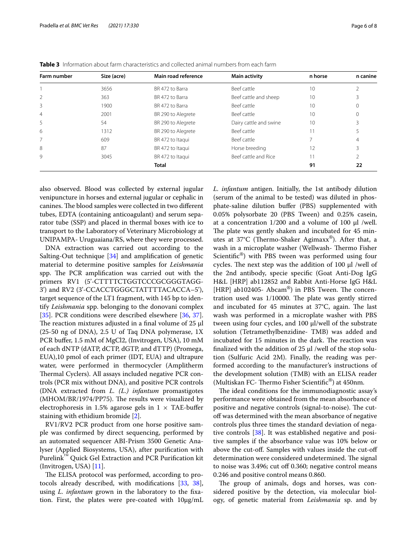| Farm number    | Size (acre) | Main road reference | <b>Main activity</b>   | n horse | n canine |
|----------------|-------------|---------------------|------------------------|---------|----------|
|                | 3656        | BR 472 to Barra     | Beef cattle            | 10      |          |
| $\overline{2}$ | 363         | BR 472 to Barra     | Beef cattle and sheep  | 10      |          |
| 3              | 1900        | BR 472 to Barra     | Beef cattle            | 10      | $\Omega$ |
| $\overline{4}$ | 2001        | BR 290 to Alegrete  | Beef cattle            | 10      | 0        |
| 5              | 54          | BR 290 to Alegrete  | Dairy cattle and swine | 10      |          |
| 6              | 1312        | BR 290 to Alegrete  | Beef cattle            | 11      |          |
| 7              | 609         | BR 472 to Itaqui    | Beef cattle            |         | 4        |
| 8              | 87          | BR 472 to Itaqui    | Horse breeding         | 12      |          |
| 9              | 3045        | BR 472 to Itaqui    | Beef cattle and Rice   | 11      |          |
|                |             | <b>Total</b>        |                        | 91      | 22       |

<span id="page-5-0"></span>**Table 3** Information about farm characteristics and collected animal numbers from each farm

also observed. Blood was collected by external jugular venipuncture in horses and external jugular or cephalic in canines. The blood samples were collected in two different tubes, EDTA (containing anticoagulant) and serum separator tube (SSP) and placed in thermal boxes with ice to transport to the Laboratory of Veterinary Microbiology at UNIPAMPA- Uruguaiana/RS, where they were processed.

DNA extraction was carried out according to the Salting-Out technique [\[34\]](#page-7-22) and amplifcation of genetic material to determine positive samples for *Leishmania* spp. The PCR amplification was carried out with the primers RV1 (5'-CTTTTCTGGTCCCGCGGGTAGG-3') and RV2 (3'-CCACCTGGGCTATTTTACACCA–5'), target sequence of the LT1 fragment, with 145 bp to identify *Leishmania* spp. belonging to the donovani complex [[35\]](#page-7-23). PCR conditions were described elsewhere [[36,](#page-7-24) [37](#page-7-25)]. The reaction mixtures adjusted in a final volume of  $25 \mu$ (25-50 ng of DNA), 2.5 U of Taq DNA polymerase, 1X PCR bufer, 1.5 mM of MgCl2, (Invitrogen, USA), 10 mM of each dNTP (dATP, dCTP, dGTP, and dTTP) (Promega, EUA),10 pmol of each primer (IDT, EUA) and ultrapure water, were performed in thermocycler (Amplitherm Thermal Cyclers). All assays included negative PCR controls (PCR mix without DNA), and positive PCR controls (DNA extracted from *L. (L.) infantum* promastigotes (MHOM/BR/1974/PP75). The results were visualized by electrophoresis in 1.5% agarose gels in  $1 \times$  TAE-buffer staining with ethidium bromide [[2](#page-6-1)].

RV1/RV2 PCR product from one horse positive sample was confrmed by direct sequencing, performed by an automated sequencer ABI-Prism 3500 Genetic Analyser (Applied Biosystems, USA), after purifcation with Purelink™ Quick Gel Extraction and PCR Purifcation kit (Invitrogen, USA) [[11\]](#page-7-0).

The ELISA protocol was performed, according to protocols already described, with modifcations [[33,](#page-7-21) [38](#page-7-26)], using *L. infantum* grown in the laboratory to the fxation. First, the plates were pre-coated with 10μg/mL *L. infantum* antigen. Initially, the 1st antibody dilution (serum of the animal to be tested) was diluted in phosphate-saline dilution bufer (PBS) supplemented with 0.05% polysorbate 20 (PBS Tween) and 0.25% casein, at a concentration 1/200 and a volume of 100 μl /well. The plate was gently shaken and incubated for 45 minutes at  $37^{\circ}$ C (Thermo-Shaker Agimaxx®). After that, a wash in a microplate washer (Wellwash- Thermo Fisher Scientific<sup>®</sup>) with PBS tween was performed using four cycles. The next step was the addition of 100  $\mu$ l /well of the 2nd antibody, specie specifc (Goat Anti-Dog IgG H&L [HRP] ab112852 and Rabbit Anti-Horse IgG H&L [HRP] ab102405- Abcam<sup>®</sup>) in PBS Tween. The concentration used was  $1/10000$ . The plate was gently stirred and incubated for 45 minutes at  $37^{\circ}$ C, again. The last wash was performed in a microplate washer with PBS tween using four cycles, and 100 μl/well of the substrate solution (Tetramethylbenzidine- TMB) was added and incubated for 15 minutes in the dark. The reaction was fnalized with the addition of 25 μl /well of the stop solution (Sulfuric Acid 2M). Finally, the reading was performed according to the manufacturer's instructions of the development solution (TMB) with an ELISA reader (Multiskan FC- Thermo Fisher Scientific®) at 450nm.

The ideal conditions for the immunodiagnostic assay's performance were obtained from the mean absorbance of positive and negative controls (signal-to-noise). The cutoff was determined with the mean absorbance of negative controls plus three times the standard deviation of negative controls [[38\]](#page-7-26). It was established negative and positive samples if the absorbance value was 10% below or above the cut-off. Samples with values inside the cut-off determination were considered undetermined. The signal to noise was 3.496; cut off 0.360; negative control means 0.246 and positive control means 0.860.

The group of animals, dogs and horses, was considered positive by the detection, via molecular biology, of genetic material from *Leishmania* sp. and by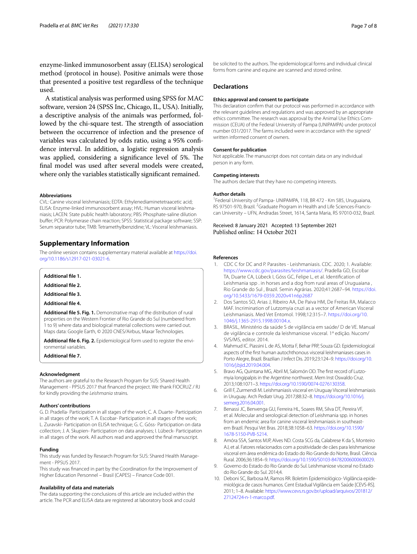enzyme-linked immunosorbent assay (ELISA) serological method (protocol in house). Positive animals were those that presented a positive test regardless of the technique used.

A statistical analysis was performed using SPSS for MAC software, version 24 (SPSS Inc, Chicago, IL, USA). Initially, a descriptive analysis of the animals was performed, followed by the chi-square test. The strength of association between the occurrence of infection and the presence of variables was calculated by odds ratio, using a 95% confdence interval. In addition, a logistic regression analysis was applied, considering a significance level of 5%. The fnal model was used after several models were created, where only the variables statistically signifcant remained.

#### **Abbreviations**

CVL: Canine visceral leishmaniasis; EDTA: Ethylenediaminetetraacetic acid; ELISA: Enzyme-linked immunosorbent assay; HVL: Human visceral leishmaniasis; LACEN: State public health laboratory; PBS: Phosphate-saline dilution bufer; PCR: Polymerase chain reaction; SPSS: Statistical package software; SSP: Serum separator tube; TMB: Tetramethylbenzidine; VL: Visceral leishmaniasis.

## **Supplementary Information**

The online version contains supplementary material available at [https://doi.](https://doi.org/10.1186/s12917-021-03021-6) [org/10.1186/s12917-021-03021-6](https://doi.org/10.1186/s12917-021-03021-6).

**Additional fle 1.**

**Additional fle 2.**

**Additional fle 3.**

<span id="page-6-10"></span>**Additional fle 4.**

**Additional fle 5. Fig. 1.** Demonstrative map of the distribution of rural properties on the Western Frontier of Rio Grande do Sul (numbered from 1 to 9) where data and biological material collections were carried out. Maps data: Google Earth, © 2020 CNES/Airbus, Maxar Technologies.

<span id="page-6-11"></span><span id="page-6-7"></span>**Additional fle 6. Fig. 2.** Epidemiological form used to register the environmental variables.

**Additional fle 7.**

#### **Acknowledgment**

The authors are grateful to the Research Program for SUS: Shared Health Management - PPSUS 2017 that fnanced the project. We thank FIOCRUZ / RJ for kindly providing the *Leishmania* strains.

#### **Authors' contributions**

G. D. Pradella- Participation in all stages of the work; C. A. Duarte- Participation in all stages of the work; T. A. Escobar- Participation in all stages of the work; L. Zuravski- Participation on ELISA technique; G. C. Góss- Participation on data collection; J. A. Skupien- Participation on data analyses; I. Lübeck- Participation in all stages of the work. All authors read and approved the fnal manuscript.

#### **Funding**

This study was funded by Research Program for SUS: Shared Health Management - PPSUS 2017.

This study was fnanced in part by the Coordination for the Improvement of Higher Education Personnel – Brasil (CAPES) – Finance Code 001.

#### **Availability of data and materials**

The data supporting the conclusions of this article are included within the article. The PCR and ELISA data are registered at laboratory book and could be solicited to the authors. The epidemiological forms and individual clinical forms from canine and equine are scanned and stored online.

#### **Declarations**

#### **Ethics approval and consent to participate**

This declaration confrm that our protocol was performed in accordance with the relevant guidelines and regulations and was approved by an appropriate ethics committee. The research was approval by the Animal Use Ethics Commission (CEUA) of the Federal University of Pampa (UNIPAMPA) under protocol number 031/2017. The farms included were in accordance with the signed/ written informed consent of owners.

#### **Consent for publication**

Not applicable. The manuscript does not contain data on any individual person in any form.

#### **Competing interests**

The authors declare that they have no competing interests.

## **Author details**

<sup>1</sup> Federal University of Pampa- UNIPAMPA, 118, BR 472 - Km 585, Uruguaiana, RS 97501-970, Brazil. <sup>2</sup> Graduate Program in Health and Life Sciences-Franciscan University – UFN, Andradas Street, 1614, Santa Maria, RS 97010-032, Brazil.

Received: 8 January 2021 Accepted: 13 September 2021 Published online: 14 October 2021

#### **References**

- <span id="page-6-0"></span>1. CDC C for DC and P. Parasites - Leishmaniasis. CDC. 2020; 1. Available: [https://www.cdc.gov/parasites/leishmaniasis/.](https://www.cdc.gov/parasites/leishmaniasis/) Pradella GD, Escobar TA, Duarte CA, Lübeck I, Góss GC, Felipe L, et al. Identifcation of Leishmania spp . in horses and a dog from rural areas of Uruguaiana , Rio Grande do Sul , Brazil. Semin Agrárias. 2020;41:2687–94. [https://doi.](https://doi.org/10.5433/1679-0359.2020v41n6p2687) [org/10.5433/1679-0359.2020v41n6p2687](https://doi.org/10.5433/1679-0359.2020v41n6p2687)
- <span id="page-6-1"></span>2. Dos Santos SO, Arias J, Ribeiro AA, De Paiva HM, De Freitas RA, Malacco MAF. Incrimination of Lutzomyia cruzi as a vector of American Visceral Leishmaniasis. Med Vet Entomol. 1998;12:315–7. [https://doi.org/10.](https://doi.org/10.1046/j.1365-2915.1998.00104.x) [1046/j.1365-2915.1998.00104.x](https://doi.org/10.1046/j.1365-2915.1998.00104.x).
- <span id="page-6-2"></span>3. BRASIL, Ministério da saúde S de vigilância em saúde/ D de VE. Manual de vigilância e controle da leishmaniose visceral. 1ª edição. Nucom/ SVS/MS, editor. 2014.
- <span id="page-6-3"></span>4. Mahmud IC. Piassini L de AS, Motta F, Behar PRP, Souza GD. Epidemiological aspects of the frst human autochthonous visceral leishmaniases cases in Porto Alegre, Brazil. Brazilian J Infect Dis. 2019;23:124–9. [https://doi.org/10.](https://doi.org/10.1016/j.bjid.2019.04.004) [1016/j.bjid.2019.04.004.](https://doi.org/10.1016/j.bjid.2019.04.004)
- <span id="page-6-4"></span>5. Bravo AG, Quintana MG, Abril M, Salomón OD. The frst record of Lutzomyia longipalpis in the Argentine northwest. Mem Inst Oswaldo Cruz. 2013;108:1071–3.<https://doi.org/10.1590/0074-0276130358>.
- 6. Grill F, Zurmendi M. Leishmaniasis visceral en Uruguay Visceral leishmaniasis in Uruguay. Arch Pediatr Urug. 2017;88:32–8. [https://doi.org/10.1016/j.](https://doi.org/10.1016/j.semerg.2016.04.001) [semerg.2016.04.001](https://doi.org/10.1016/j.semerg.2016.04.001).
- <span id="page-6-5"></span>7. Benassi JC, Benvenga GU, Ferreira HL, Soares RM, Silva DT, Pereira VF, et al. Molecular and serological detection of Leishmania spp. in horses from an endemic area for canine visceral leishmaniasis in southeastern Brazil. Pesqui Vet Bras. 2018;38:1058–63. [https://doi.org/10.1590/](https://doi.org/10.1590/1678-5150-PVB-5214) [1678-5150-PVB-5214](https://doi.org/10.1590/1678-5150-PVB-5214).
- <span id="page-6-6"></span>8. Amóra SSA, Santos MJP, Alves ND. Costa SCG da, Calabrese K da S, Monteiro AJ, et al. Fatores relacionados com a positividade de cães para leishmaniose visceral em área endêmica do Estado do Rio Grande do Norte, Brasil. Ciência Rural. 2006;36:1854–9. <https://doi.org/10.1590/S0103-84782006000600029>.
- <span id="page-6-8"></span>9. Governo do Estado do Rio Grande do Sul. Leishmaniose visceral no Estado do Rio Grande do Sul. 2014;4.
- <span id="page-6-9"></span>10. Deboni SC, Barbosa M, Ramos RR. Boletim Epidemiológico- Vigilância epidemiológica de casos humanos. Cent Estadual Vigilância em Saúde [CEVS-RS]. 2011; 1–8. Available: [https://www.cevs.rs.gov.br/upload/arquivos/201812/](https://www.cevs.rs.gov.br/upload/arquivos/201812/27124724-n-1-marco.pdf) [27124724-n-1-marco.pdf](https://www.cevs.rs.gov.br/upload/arquivos/201812/27124724-n-1-marco.pdf).